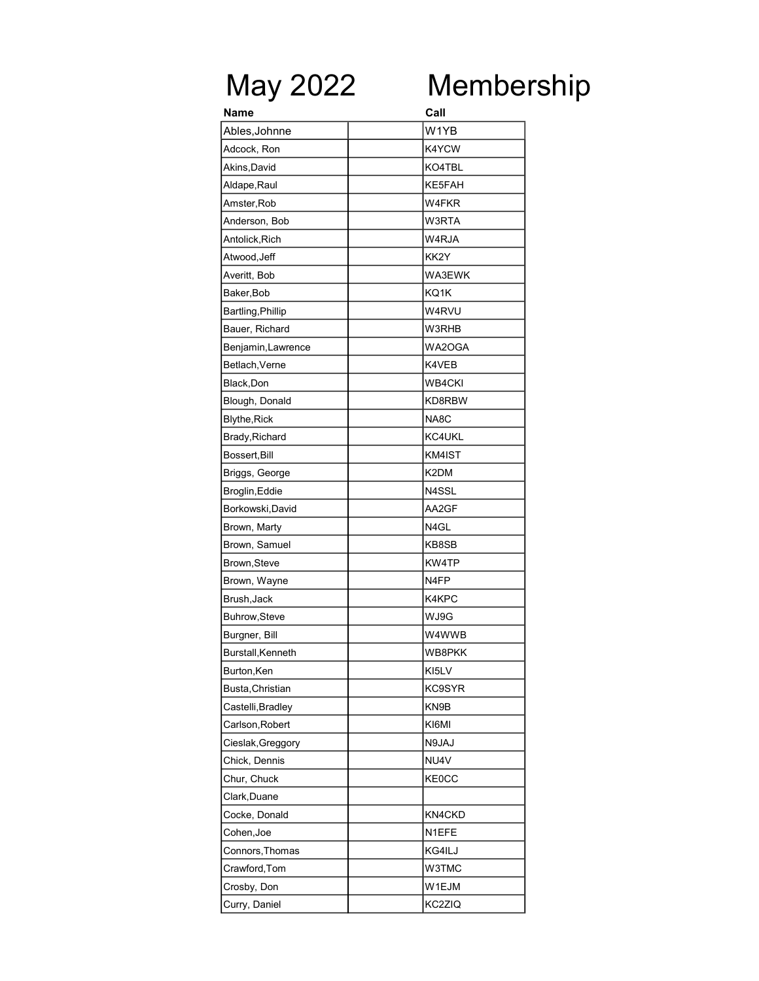## May 2022 Membership

| Name               | Call              |
|--------------------|-------------------|
| Ables, Johnne      | W <sub>1</sub> YB |
| Adcock, Ron        | K4YCW             |
| Akins,David        | KO4TBL            |
| Aldape, Raul       | KE5FAH            |
| Amster, Rob        | W4FKR             |
| Anderson, Bob      | W3RTA             |
| Antolick, Rich     | W4RJA             |
| Atwood, Jeff       | KK2Y              |
| Averitt, Bob       | WA3EWK            |
| Baker, Bob         | KQ1K              |
| Bartling, Phillip  | W4RVU             |
| Bauer, Richard     | W3RHB             |
| Benjamin, Lawrence | WA2OGA            |
| Betlach, Verne     | K4VEB             |
| Black, Don         | WB4CKI            |
| Blough, Donald     | KD8RBW            |
| Blythe, Rick       | NA8C              |
| Brady, Richard     | KC4UKL            |
| Bossert, Bill      | KM4IST            |
| Briggs, George     | K2DM              |
| Broglin, Eddie     | N4SSL             |
| Borkowski, David   | AA2GF             |
| Brown, Marty       | N4GL              |
| Brown, Samuel      | KB8SB             |
| Brown, Steve       | KW4TP             |
| Brown, Wayne       | N4FP              |
| Brush, Jack        | K4KPC             |
| Buhrow, Steve      | WJ9G              |
| Burgner, Bill      | W4WWB             |
| Burstall, Kenneth  | WB8PKK            |
| Burton, Ken        | KI5LV             |
| Busta, Christian   | KC9SYR            |
| Castelli, Bradley  | KN9B              |
| Carlson, Robert    | KI6MI             |
| Cieslak, Greggory  | N9JAJ             |
| Chick, Dennis      | NU4V              |
| Chur, Chuck        | <b>KE0CC</b>      |
| Clark, Duane       |                   |
| Cocke, Donald      | KN4CKD            |
| Cohen, Joe         | N1EFE             |
| Connors, Thomas    | KG4ILJ            |
| Crawford, Tom      | W3TMC             |
| Crosby, Don        | W1EJM             |
| Curry, Daniel      | KC2ZIQ            |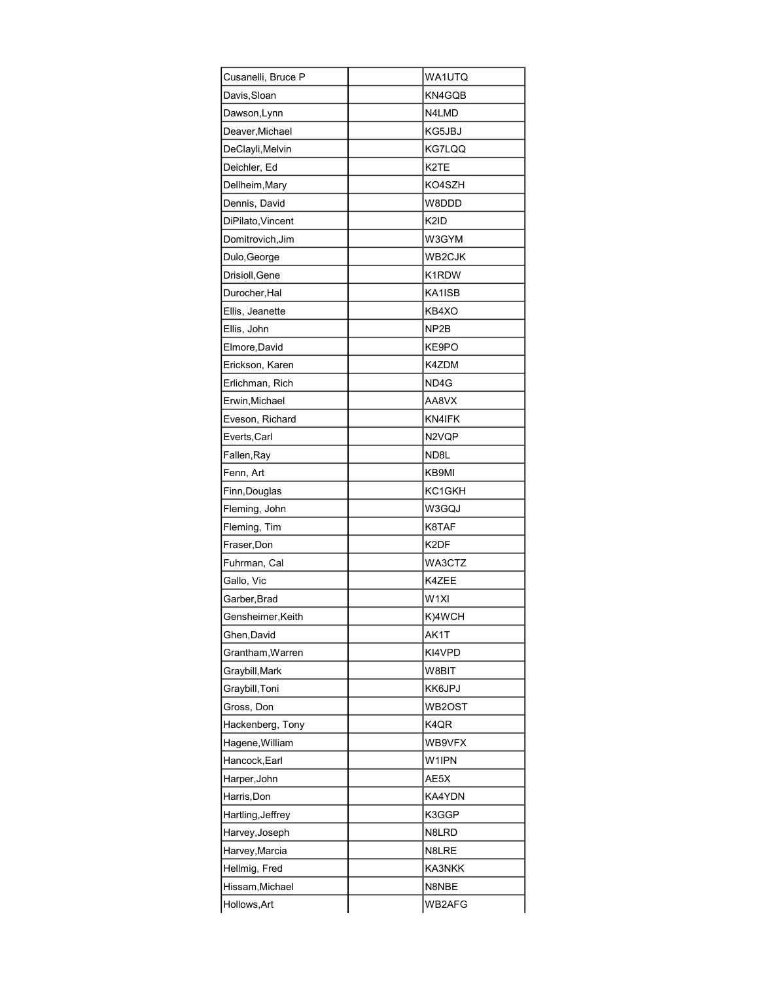| Cusanelli, Bruce P | WA1UTQ             |
|--------------------|--------------------|
| Davis, Sloan       | KN4GQB             |
| Dawson, Lynn       | N4LMD              |
| Deaver, Michael    | KG5JBJ             |
| DeClayli, Melvin   | KG7LQQ             |
| Deichler, Ed       | K <sub>2</sub> TE  |
| Dellheim, Mary     | KO4SZH             |
| Dennis, David      | W8DDD              |
| DiPilato, Vincent  | K2ID               |
| Domitrovich, Jim   | W3GYM              |
| Dulo, George       | WB2CJK             |
| Drisioll, Gene     | K1RDW              |
| Durocher, Hal      | KA1ISB             |
| Ellis, Jeanette    | KB4XO              |
| Ellis, John        | NP2B               |
| Elmore, David      | KE9PO              |
| Erickson, Karen    | K4ZDM              |
| Erlichman, Rich    | ND4G               |
| Erwin, Michael     | AA8VX              |
| Eveson, Richard    | KN4IFK             |
| Everts, Carl       | N2VQP              |
| Fallen, Ray        | ND8L               |
| Fenn, Art          | KB9MI              |
| Finn, Douglas      | KC1GKH             |
| Fleming, John      | W3GQJ              |
| Fleming, Tim       | K8TAF              |
| Fraser, Don        | K2DF               |
| Fuhrman, Cal       | WA3CTZ             |
| Gallo, Vic         | K4ZEE              |
| Garber, Brad       | W <sub>1XI</sub>   |
| Gensheimer, Keith  | K)4WCH             |
| Ghen, David        | AK1T               |
| Grantham, Warren   | KI4VPD             |
| Graybill, Mark     | W8BIT              |
| Graybill, Toni     | KK6JPJ             |
| Gross, Don         | WB2OST             |
| Hackenberg, Tony   | K4QR               |
| Hagene, William    | WB9VFX             |
| Hancock, Earl      | W <sub>1</sub> IPN |
| Harper, John       | AE5X               |
| Harris, Don        | KA4YDN             |
| Hartling, Jeffrey  | K3GGP              |
| Harvey, Joseph     | N8LRD              |
| Harvey, Marcia     | N8LRE              |
| Hellmig, Fred      | KA3NKK             |
| Hissam, Michael    | N8NBE              |
| Hollows, Art       | WB2AFG             |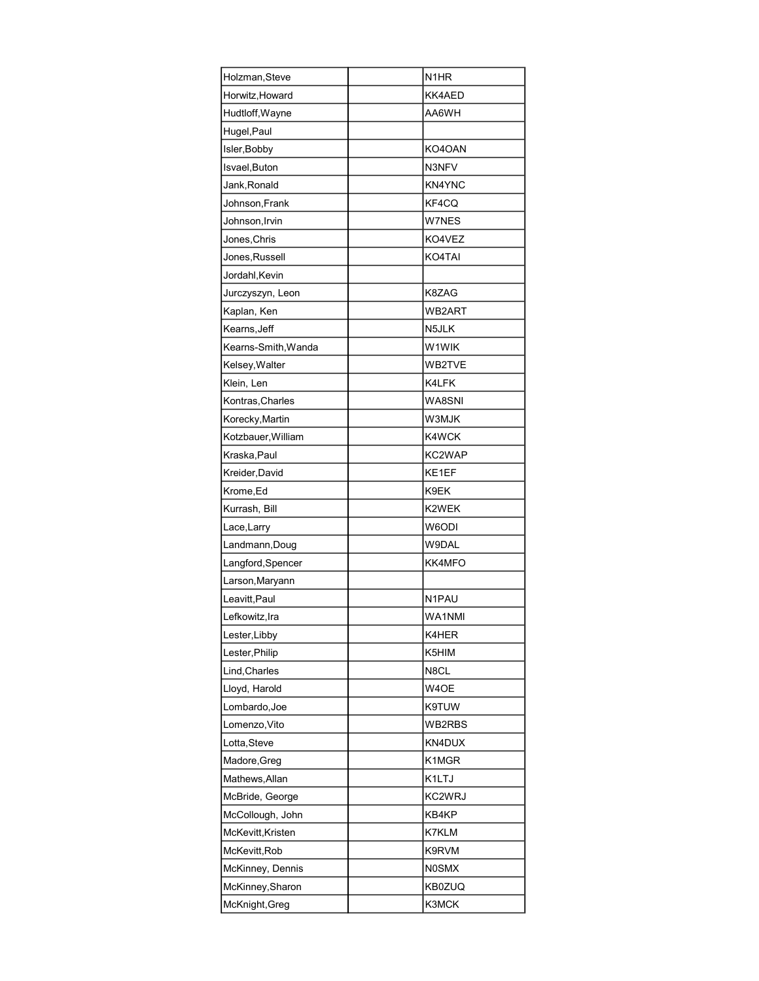| Holzman, Steve      | N <sub>1</sub> HR  |
|---------------------|--------------------|
| Horwitz, Howard     | KK4AED             |
| Hudtloff, Wayne     | AA6WH              |
| Hugel, Paul         |                    |
| Isler, Bobby        | KO4OAN             |
| Isvael, Buton       | N3NFV              |
| Jank, Ronald        | KN4YNC             |
| Johnson, Frank      | KF4CQ              |
| Johnson, Irvin      | W7NES              |
| Jones, Chris        | KO4VEZ             |
| Jones, Russell      | KO4TAI             |
| Jordahl, Kevin      |                    |
| Jurczyszyn, Leon    | K8ZAG              |
| Kaplan, Ken         | WB2ART             |
| Kearns, Jeff        | N5JLK              |
| Kearns-Smith, Wanda | W <sub>1</sub> WIK |
| Kelsey, Walter      | WB2TVE             |
| Klein, Len          | K4LFK              |
| Kontras, Charles    | WA8SNI             |
| Korecky, Martin     | W3MJK              |
| Kotzbauer, William  | K4WCK              |
| Kraska, Paul        | KC2WAP             |
| Kreider, David      | KE1EF              |
| Krome, Ed           | K9EK               |
| Kurrash, Bill       | K2WEK              |
| Lace, Larry         | W6ODI              |
| Landmann, Doug      | W9DAL              |
| Langford, Spencer   | KK4MFO             |
| Larson, Maryann     |                    |
| Leavitt, Paul       | N1PAU              |
| Lefkowitz, Ira      | WA1NMI             |
| Lester, Libby       | K4HER              |
| Lester, Philip      | K5HIM              |
| Lind, Charles       | N8CL               |
| Lloyd, Harold       | W4OE               |
| Lombardo, Joe       | K9TUW              |
| Lomenzo, Vito       | WB2RBS             |
| Lotta, Steve        | KN4DUX             |
| Madore, Greg        | K1MGR              |
| Mathews, Allan      | K1LTJ              |
| McBride, George     | KC2WRJ             |
| McCollough, John    | KB4KP              |
| McKevitt, Kristen   | K7KLM              |
| McKevitt, Rob       | K9RVM              |
| McKinney, Dennis    | <b>N0SMX</b>       |
| McKinney, Sharon    | <b>KB0ZUQ</b>      |
| McKnight, Greg      | K3MCK              |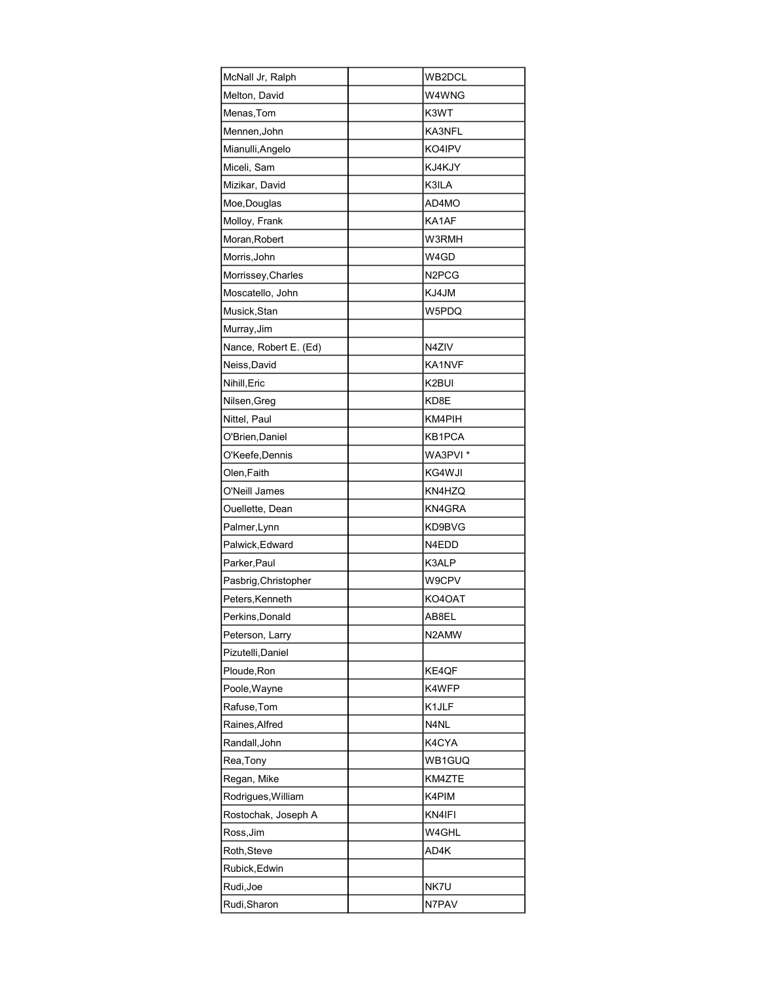| McNall Jr, Ralph      | WB2DCL                         |
|-----------------------|--------------------------------|
| Melton, David         | W4WNG                          |
| Menas, Tom            | K3WT                           |
| Mennen, John          | KA3NFL                         |
| Mianulli, Angelo      | KO4IPV                         |
| Miceli, Sam           | KJ4KJY                         |
| Mizikar, David        | K3ILA                          |
| Moe, Douglas          | AD4MO                          |
| Molloy, Frank         | KA1AF                          |
| Moran, Robert         | W3RMH                          |
| Morris, John          | W4GD                           |
| Morrissey, Charles    | N <sub>2</sub> PC <sub>G</sub> |
| Moscatello, John      | KJ4JM                          |
| Musick, Stan          | W5PDQ                          |
| Murray, Jim           |                                |
| Nance, Robert E. (Ed) | N4ZIV                          |
| Neiss, David          | KA1NVF                         |
| Nihill, Eric          | K2BUI                          |
| Nilsen, Greg          | KD8E                           |
| Nittel, Paul          | KM4PIH                         |
| O'Brien, Daniel       | KB1PCA                         |
| O'Keefe,Dennis        | WA3PVI *                       |
| Olen, Faith           | KG4WJI                         |
| O'Neill James         | KN4HZQ                         |
| Ouellette, Dean       | KN4GRA                         |
| Palmer, Lynn          | KD9BVG                         |
| Palwick, Edward       | N4EDD                          |
| Parker, Paul          | K3ALP                          |
| Pasbrig, Christopher  | W9CPV                          |
| Peters, Kenneth       | KO4OAT                         |
| Perkins, Donald       | AB8EL                          |
| Peterson, Larry       | N2AMW                          |
| Pizutelli, Daniel     |                                |
| Ploude, Ron           | KE4QF                          |
| Poole, Wayne          | K4WFP                          |
| Rafuse, Tom           | K1JLF                          |
| Raines, Alfred        | N4NL                           |
| Randall, John         | K4CYA                          |
| Rea, Tony             | WB1GUQ                         |
| Regan, Mike           | KM4ZTE                         |
| Rodrigues, William    | K4PIM                          |
| Rostochak, Joseph A   | KN4IFI                         |
| Ross, Jim             | W4GHL                          |
| Roth,Steve            | AD4K                           |
| Rubick, Edwin         |                                |
| Rudi, Joe             | NK7U                           |
| Rudi, Sharon          | N7PAV                          |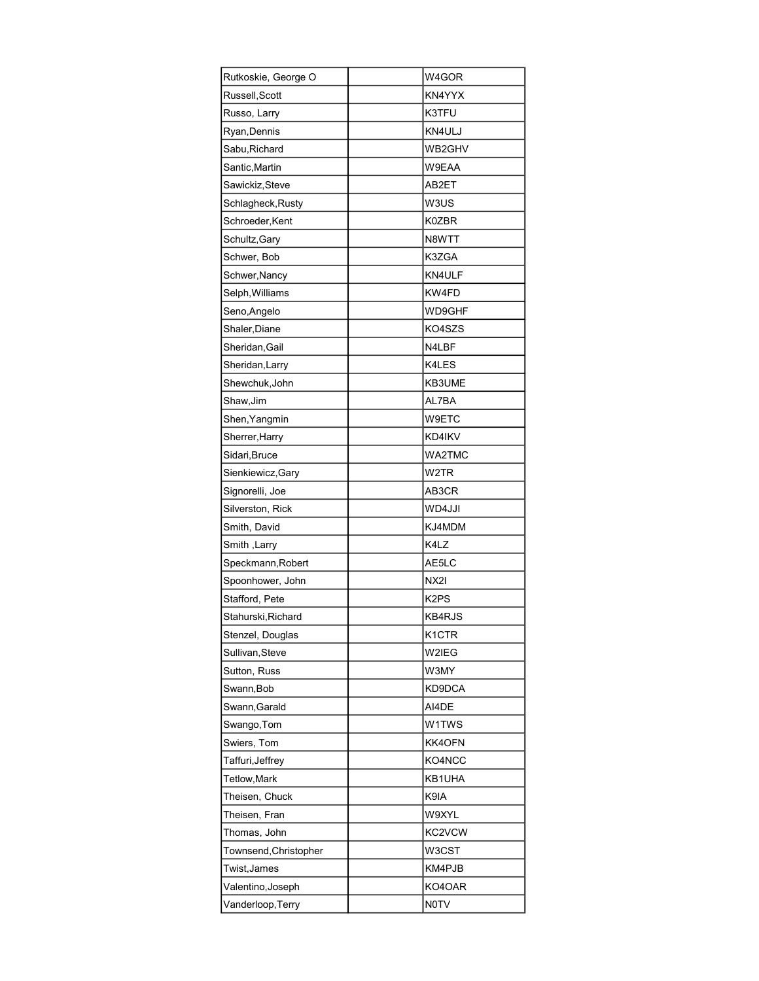| Rutkoskie, George O   | W4GOR              |
|-----------------------|--------------------|
| Russell, Scott        | KN4YYX             |
| Russo, Larry          | K3TFU              |
| Ryan, Dennis          | KN4ULJ             |
| Sabu, Richard         | WB2GHV             |
| Santic, Martin        | W9EAA              |
| Sawickiz, Steve       | AB2ET              |
| Schlagheck, Rusty     | W3US               |
| Schroeder, Kent       | K0ZBR              |
| Schultz, Gary         | N8WTT              |
| Schwer, Bob           | K3ZGA              |
| Schwer, Nancy         | KN4ULF             |
| Selph, Williams       | KW4FD              |
| Seno, Angelo          | WD9GHF             |
| Shaler, Diane         | KO4SZS             |
| Sheridan, Gail        | N4LBF              |
| Sheridan, Larry       | K4LES              |
| Shewchuk, John        | KB3UME             |
| Shaw, Jim             | AL7BA              |
| Shen, Yangmin         | W9ETC              |
| Sherrer, Harry        | KD4IKV             |
| Sidari, Bruce         | WA2TMC             |
| Sienkiewicz, Gary     | W2TR               |
| Signorelli, Joe       | AB3CR              |
| Silverston, Rick      | WD4JJI             |
| Smith, David          | KJ4MDM             |
| Smith , Larry         | K4LZ               |
| Speckmann, Robert     | AE5LC              |
| Spoonhower, John      | NX2I               |
| Stafford, Pete        | K2PS               |
| Stahurski, Richard    | KB4RJS             |
| Stenzel, Douglas      | K <sub>1</sub> CTR |
| Sullivan, Steve       | W2IEG              |
| Sutton, Russ          | W3MY               |
| Swann, Bob            | KD9DCA             |
| Swann, Garald         | AI4DE              |
| Swango, Tom           | W1TWS              |
| Swiers, Tom           | KK4OFN             |
| Taffuri,Jeffrey       | KO4NCC             |
| Tetlow, Mark          | KB1UHA             |
| Theisen, Chuck        | K9IA               |
| Theisen, Fran         | W9XYL              |
| Thomas, John          | KC2VCW             |
| Townsend, Christopher | W3CST              |
| Twist, James          | KM4PJB             |
| Valentino, Joseph     | KO4OAR             |
| Vanderloop, Terry     | <b>NOTV</b>        |